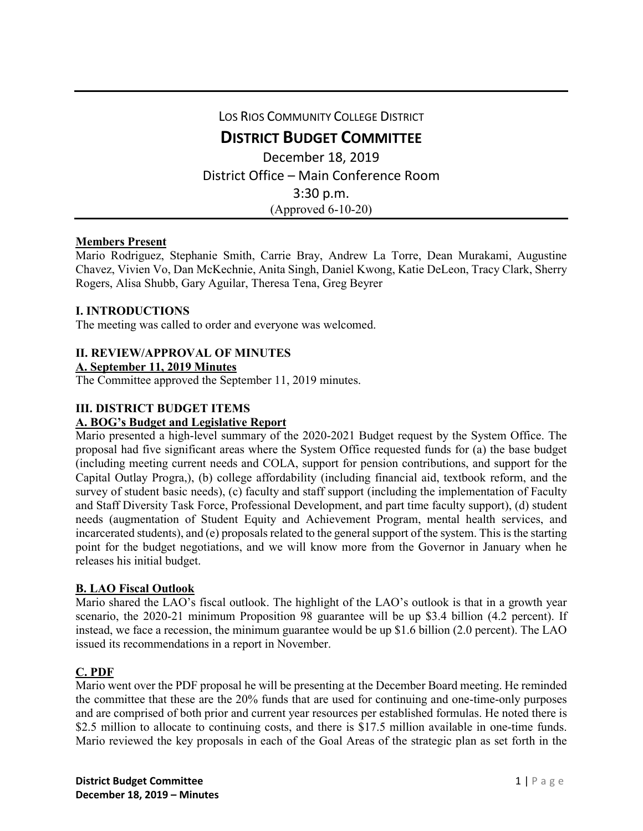LOS RIOS COMMUNITY COLLEGE DISTRICT

**DISTRICT BUDGET COMMITTEE**

December 18, 2019 District Office – Main Conference Room 3:30 p.m. (Approved 6-10-20)

## **Members Present**

Mario Rodriguez, Stephanie Smith, Carrie Bray, Andrew La Torre, Dean Murakami, Augustine Chavez, Vivien Vo, Dan McKechnie, Anita Singh, Daniel Kwong, Katie DeLeon, Tracy Clark, Sherry Rogers, Alisa Shubb, Gary Aguilar, Theresa Tena, Greg Beyrer

## **I. INTRODUCTIONS**

The meeting was called to order and everyone was welcomed.

## **II. REVIEW/APPROVAL OF MINUTES**

#### **A. September 11, 2019 Minutes**

The Committee approved the September 11, 2019 minutes.

## **III. DISTRICT BUDGET ITEMS**

#### **A. BOG's Budget and Legislative Report**

Mario presented a high-level summary of the 2020-2021 Budget request by the System Office. The proposal had five significant areas where the System Office requested funds for (a) the base budget (including meeting current needs and COLA, support for pension contributions, and support for the Capital Outlay Progra,), (b) college affordability (including financial aid, textbook reform, and the survey of student basic needs), (c) faculty and staff support (including the implementation of Faculty and Staff Diversity Task Force, Professional Development, and part time faculty support), (d) student needs (augmentation of Student Equity and Achievement Program, mental health services, and incarcerated students), and (e) proposals related to the general support of the system. This is the starting point for the budget negotiations, and we will know more from the Governor in January when he releases his initial budget.

#### **B. LAO Fiscal Outlook**

Mario shared the LAO's fiscal outlook. The highlight of the LAO's outlook is that in a growth year scenario, the 2020-21 minimum Proposition 98 guarantee will be up \$3.4 billion (4.2 percent). If instead, we face a recession, the minimum guarantee would be up \$1.6 billion (2.0 percent). The LAO issued its recommendations in a report in November.

## **C. PDF**

Mario went over the PDF proposal he will be presenting at the December Board meeting. He reminded the committee that these are the 20% funds that are used for continuing and one-time-only purposes and are comprised of both prior and current year resources per established formulas. He noted there is \$2.5 million to allocate to continuing costs, and there is \$17.5 million available in one-time funds. Mario reviewed the key proposals in each of the Goal Areas of the strategic plan as set forth in the